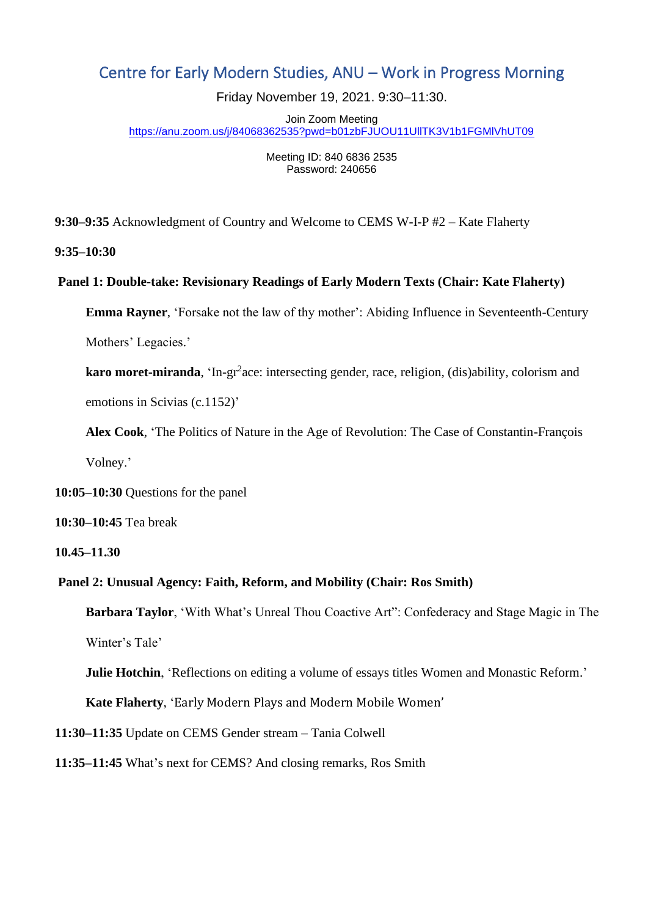# Centre for Early Modern Studies, ANU – Work in Progress Morning

Friday November 19, 2021. 9:30–11:30.

Join Zoom Meeting <https://anu.zoom.us/j/84068362535?pwd=b01zbFJUOU11UllTK3V1b1FGMlVhUT09>

> Meeting ID: 840 6836 2535 Password: 240656

**9:30–9:35** Acknowledgment of Country and Welcome to CEMS W-I-P #2 – Kate Flaherty

**9:35–10:30**

**Panel 1: Double-take: Revisionary Readings of Early Modern Texts (Chair: Kate Flaherty)**

**Emma Rayner**, 'Forsake not the law of thy mother': Abiding Influence in Seventeenth-Century

Mothers' Legacies.'

karo moret-miranda, 'In-gr<sup>2</sup>ace: intersecting gender, race, religion, (dis)ability, colorism and emotions in Scivias (c.1152)'

**Alex Cook**, 'The Politics of Nature in the Age of Revolution: The Case of Constantin-François Volney.'

**10:05***–***10:30** Questions for the panel

**10:30***–***10:45** Tea break

## **10.45–11.30**

# **Panel 2: Unusual Agency: Faith, Reform, and Mobility (Chair: Ros Smith)**

**Barbara Taylor**, 'With What's Unreal Thou Coactive Art": Confederacy and Stage Magic in The Winter's Tale'

**Julie Hotchin**, 'Reflections on editing a volume of essays titles Women and Monastic Reform.'

**Kate Flaherty**, 'Early Modern Plays and Modern Mobile Women'

**11:30–11:35** Update on CEMS Gender stream – Tania Colwell

**11:35–11:45** What's next for CEMS? And closing remarks, Ros Smith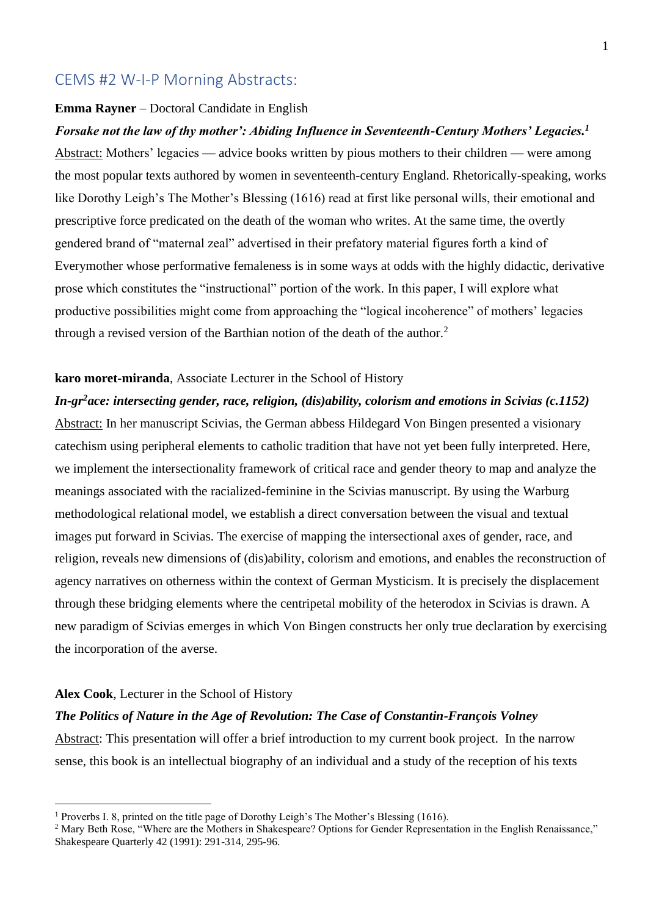# CEMS #2 W-I-P Morning Abstracts:

## **Emma Rayner** – Doctoral Candidate in English

*Forsake not the law of thy mother': Abiding Influence in Seventeenth-Century Mothers' Legacies. 1* Abstract: Mothers' legacies — advice books written by pious mothers to their children — were among the most popular texts authored by women in seventeenth-century England. Rhetorically-speaking, works like Dorothy Leigh's The Mother's Blessing (1616) read at first like personal wills, their emotional and prescriptive force predicated on the death of the woman who writes. At the same time, the overtly gendered brand of "maternal zeal" advertised in their prefatory material figures forth a kind of Everymother whose performative femaleness is in some ways at odds with the highly didactic, derivative prose which constitutes the "instructional" portion of the work. In this paper, I will explore what productive possibilities might come from approaching the "logical incoherence" of mothers' legacies through a revised version of the Barthian notion of the death of the author.<sup>2</sup>

#### **karo moret-miranda**, Associate Lecturer in the School of History

# *In-gr<sup>2</sup>ace: intersecting gender, race, religion, (dis)ability, colorism and emotions in Scivias (c.1152)*

Abstract: In her manuscript Scivias, the German abbess Hildegard Von Bingen presented a visionary catechism using peripheral elements to catholic tradition that have not yet been fully interpreted. Here, we implement the intersectionality framework of critical race and gender theory to map and analyze the meanings associated with the racialized-feminine in the Scivias manuscript. By using the Warburg methodological relational model, we establish a direct conversation between the visual and textual images put forward in Scivias. The exercise of mapping the intersectional axes of gender, race, and religion, reveals new dimensions of (dis)ability, colorism and emotions, and enables the reconstruction of agency narratives on otherness within the context of German Mysticism. It is precisely the displacement through these bridging elements where the centripetal mobility of the heterodox in Scivias is drawn. A new paradigm of Scivias emerges in which Von Bingen constructs her only true declaration by exercising the incorporation of the averse.

#### **Alex Cook**, Lecturer in the School of History

## *The Politics of Nature in the Age of Revolution: The Case of Constantin-François Volney*

Abstract: This presentation will offer a brief introduction to my current book project. In the narrow sense, this book is an intellectual biography of an individual and a study of the reception of his texts

<sup>&</sup>lt;sup>1</sup> Proverbs I. 8, printed on the title page of Dorothy Leigh's The Mother's Blessing (1616).

<sup>&</sup>lt;sup>2</sup> Mary Beth Rose, "Where are the Mothers in Shakespeare? Options for Gender Representation in the English Renaissance," Shakespeare Quarterly 42 (1991): 291-314, 295-96.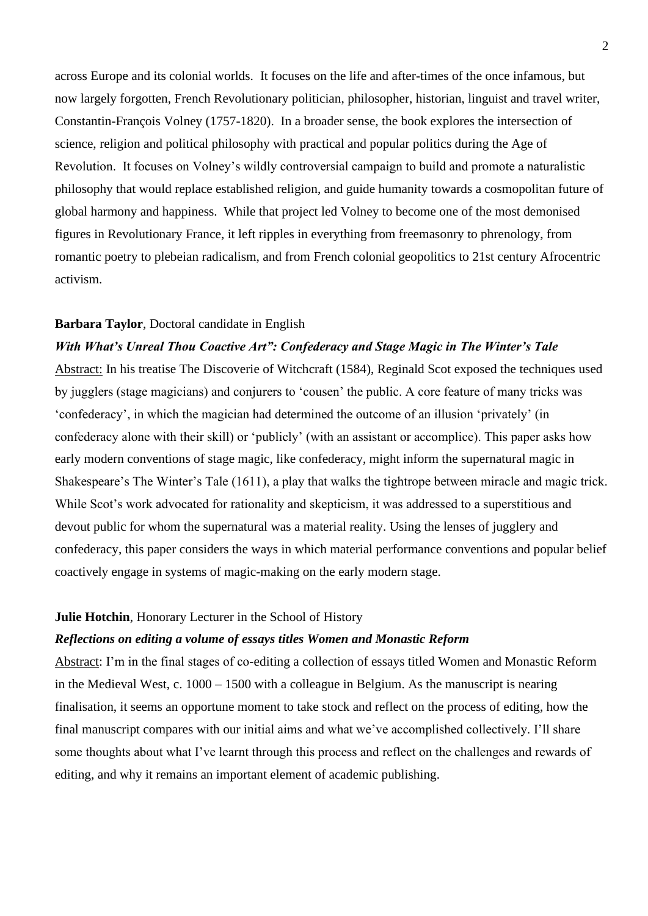across Europe and its colonial worlds. It focuses on the life and after-times of the once infamous, but now largely forgotten, French Revolutionary politician, philosopher, historian, linguist and travel writer, Constantin-François Volney (1757-1820). In a broader sense, the book explores the intersection of science, religion and political philosophy with practical and popular politics during the Age of Revolution. It focuses on Volney's wildly controversial campaign to build and promote a naturalistic philosophy that would replace established religion, and guide humanity towards a cosmopolitan future of global harmony and happiness. While that project led Volney to become one of the most demonised figures in Revolutionary France, it left ripples in everything from freemasonry to phrenology, from romantic poetry to plebeian radicalism, and from French colonial geopolitics to 21st century Afrocentric activism.

#### **Barbara Taylor**, Doctoral candidate in English

## *With What's Unreal Thou Coactive Art": Confederacy and Stage Magic in The Winter's Tale*

Abstract: In his treatise The Discoverie of Witchcraft (1584), Reginald Scot exposed the techniques used by jugglers (stage magicians) and conjurers to 'cousen' the public. A core feature of many tricks was 'confederacy', in which the magician had determined the outcome of an illusion 'privately' (in confederacy alone with their skill) or 'publicly' (with an assistant or accomplice). This paper asks how early modern conventions of stage magic, like confederacy, might inform the supernatural magic in Shakespeare's The Winter's Tale (1611), a play that walks the tightrope between miracle and magic trick. While Scot's work advocated for rationality and skepticism, it was addressed to a superstitious and devout public for whom the supernatural was a material reality. Using the lenses of jugglery and confederacy, this paper considers the ways in which material performance conventions and popular belief coactively engage in systems of magic-making on the early modern stage.

## **Julie Hotchin**, Honorary Lecturer in the School of History

## *Reflections on editing a volume of essays titles Women and Monastic Reform*

Abstract: I'm in the final stages of co-editing a collection of essays titled Women and Monastic Reform in the Medieval West, c. 1000 – 1500 with a colleague in Belgium. As the manuscript is nearing finalisation, it seems an opportune moment to take stock and reflect on the process of editing, how the final manuscript compares with our initial aims and what we've accomplished collectively. I'll share some thoughts about what I've learnt through this process and reflect on the challenges and rewards of editing, and why it remains an important element of academic publishing.